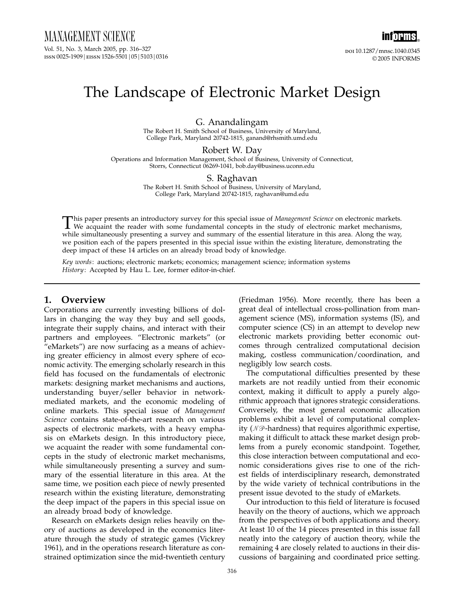

# The Landscape of Electronic Market Design

G. Anandalingam

The Robert H. Smith School of Business, University of Maryland, College Park, Maryland 20742-1815, ganand@rhsmith.umd.edu

### Robert W. Day

Operations and Information Management, School of Business, University of Connecticut, Storrs, Connecticut 06269-1041, bob.day@business.uconn.edu

## S. Raghavan

The Robert H. Smith School of Business, University of Maryland, College Park, Maryland 20742-1815, raghavan@umd.edu

This paper presents an introductory survey for this special issue of *Management Science* on electronic markets.<br>We acquaint the reader with some fundamental concepts in the study of electronic market mechanisms,<br>while sim while simultaneously presenting a survey and summary of the essential literature in this area. Along the way, we position each of the papers presented in this special issue within the existing literature, demonstrating the deep impact of these 14 articles on an already broad body of knowledge.

Key words: auctions; electronic markets; economics; management science; information systems History: Accepted by Hau L. Lee, former editor-in-chief.

## 1. Overview

Corporations are currently investing billions of dollars in changing the way they buy and sell goods, integrate their supply chains, and interact with their partners and employees. "Electronic markets" (or "eMarkets") are now surfacing as a means of achieving greater efficiency in almost every sphere of economic activity. The emerging scholarly research in this field has focused on the fundamentals of electronic markets: designing market mechanisms and auctions, understanding buyer/seller behavior in networkmediated markets, and the economic modeling of online markets. This special issue of Management Science contains state-of-the-art research on various aspects of electronic markets, with a heavy emphasis on eMarkets design. In this introductory piece, we acquaint the reader with some fundamental concepts in the study of electronic market mechanisms, while simultaneously presenting a survey and summary of the essential literature in this area. At the same time, we position each piece of newly presented research within the existing literature, demonstrating the deep impact of the papers in this special issue on an already broad body of knowledge.

Research on eMarkets design relies heavily on theory of auctions as developed in the economics literature through the study of strategic games (Vickrey 1961), and in the operations research literature as constrained optimization since the mid-twentieth century

(Friedman 1956). More recently, there has been a great deal of intellectual cross-pollination from management science (MS), information systems (IS), and computer science (CS) in an attempt to develop new electronic markets providing better economic outcomes through centralized computational decision making, costless communication/coordination, and negligibly low search costs.

The computational difficulties presented by these markets are not readily untied from their economic context, making it difficult to apply a purely algorithmic approach that ignores strategic considerations. Conversely, the most general economic allocation problems exhibit a level of computational complexity ( $\mathcal N\mathcal P$ -hardness) that requires algorithmic expertise, making it difficult to attack these market design problems from a purely economic standpoint. Together, this close interaction between computational and economic considerations gives rise to one of the richest fields of interdisciplinary research, demonstrated by the wide variety of technical contributions in the present issue devoted to the study of eMarkets.

Our introduction to this field of literature is focused heavily on the theory of auctions, which we approach from the perspectives of both applications and theory. At least 10 of the 14 pieces presented in this issue fall neatly into the category of auction theory, while the remaining 4 are closely related to auctions in their discussions of bargaining and coordinated price setting.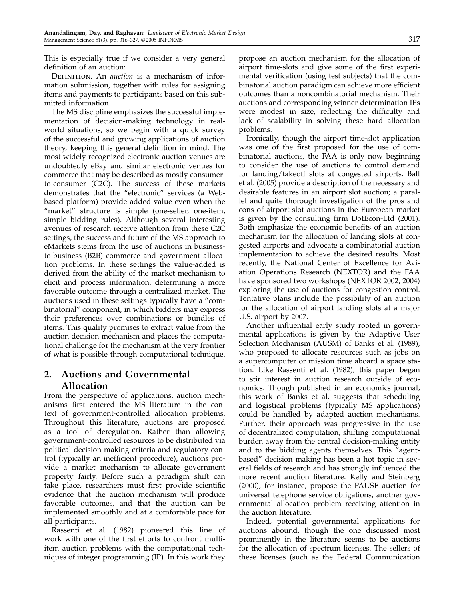This is especially true if we consider a very general definition of an auction:

DEFINITION. An *auction* is a mechanism of information submission, together with rules for assigning items and payments to participants based on this submitted information.

The MS discipline emphasizes the successful implementation of decision-making technology in realworld situations, so we begin with a quick survey of the successful and growing applications of auction theory, keeping this general definition in mind. The most widely recognized electronic auction venues are undoubtedly eBay and similar electronic venues for commerce that may be described as mostly consumerto-consumer (C2C). The success of these markets demonstrates that the "electronic" services (a Webbased platform) provide added value even when the "market" structure is simple (one-seller, one-item, simple bidding rules). Although several interesting avenues of research receive attention from these C2C settings, the success and future of the MS approach to eMarkets stems from the use of auctions in businessto-business (B2B) commerce and government allocation problems. In these settings the value-added is derived from the ability of the market mechanism to elicit and process information, determining a more favorable outcome through a centralized market. The auctions used in these settings typically have a "combinatorial" component, in which bidders may express their preferences over combinations or bundles of items. This quality promises to extract value from the auction decision mechanism and places the computational challenge for the mechanism at the very frontier of what is possible through computational technique.

# 2. Auctions and Governmental Allocation

From the perspective of applications, auction mechanisms first entered the MS literature in the context of government-controlled allocation problems. Throughout this literature, auctions are proposed as a tool of deregulation. Rather than allowing government-controlled resources to be distributed via political decision-making criteria and regulatory control (typically an inefficient procedure), auctions provide a market mechanism to allocate government property fairly. Before such a paradigm shift can take place, researchers must first provide scientific evidence that the auction mechanism will produce favorable outcomes, and that the auction can be implemented smoothly and at a comfortable pace for all participants.

Rassenti et al. (1982) pioneered this line of work with one of the first efforts to confront multiitem auction problems with the computational techniques of integer programming (IP). In this work they

propose an auction mechanism for the allocation of airport time-slots and give some of the first experimental verification (using test subjects) that the combinatorial auction paradigm can achieve more efficient outcomes than a noncombinatorial mechanism. Their auctions and corresponding winner-determination IPs were modest in size, reflecting the difficulty and lack of scalability in solving these hard allocation problems.

Ironically, though the airport time-slot application was one of the first proposed for the use of combinatorial auctions, the FAA is only now beginning to consider the use of auctions to control demand for landing/takeoff slots at congested airports. Ball et al. (2005) provide a description of the necessary and desirable features in an airport slot auction; a parallel and quite thorough investigation of the pros and cons of airport-slot auctions in the European market is given by the consulting firm DotEcon-Ltd (2001). Both emphasize the economic benefits of an auction mechanism for the allocation of landing slots at congested airports and advocate a combinatorial auction implementation to achieve the desired results. Most recently, the National Center of Excellence for Aviation Operations Research (NEXTOR) and the FAA have sponsored two workshops (NEXTOR 2002, 2004) exploring the use of auctions for congestion control. Tentative plans include the possibility of an auction for the allocation of airport landing slots at a major U.S. airport by 2007.

Another influential early study rooted in governmental applications is given by the Adaptive User Selection Mechanism (AUSM) of Banks et al. (1989), who proposed to allocate resources such as jobs on a supercomputer or mission time aboard a space station. Like Rassenti et al. (1982), this paper began to stir interest in auction research outside of economics. Though published in an economics journal, this work of Banks et al. suggests that scheduling and logistical problems (typically MS applications) could be handled by adapted auction mechanisms. Further, their approach was progressive in the use of decentralized computation, shifting computational burden away from the central decision-making entity and to the bidding agents themselves. This "agentbased" decision making has been a hot topic in several fields of research and has strongly influenced the more recent auction literature. Kelly and Steinberg (2000), for instance, propose the PAUSE auction for universal telephone service obligations, another governmental allocation problem receiving attention in the auction literature.

Indeed, potential governmental applications for auctions abound, though the one discussed most prominently in the literature seems to be auctions for the allocation of spectrum licenses. The sellers of these licenses (such as the Federal Communication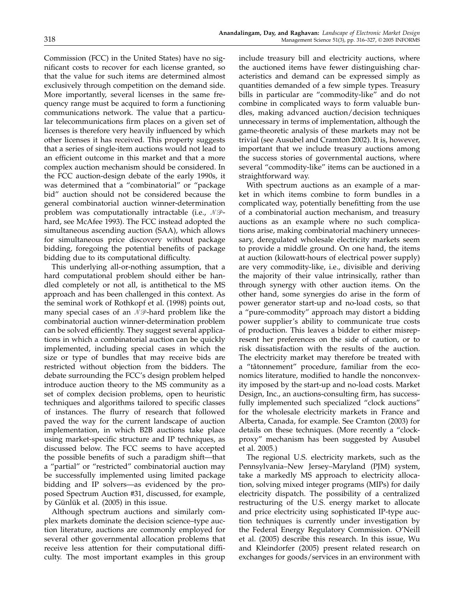Commission (FCC) in the United States) have no significant costs to recover for each license granted, so that the value for such items are determined almost exclusively through competition on the demand side. More importantly, several licenses in the same frequency range must be acquired to form a functioning communications network. The value that a particular telecommunications firm places on a given set of licenses is therefore very heavily influenced by which other licenses it has received. This property suggests that a series of single-item auctions would not lead to an efficient outcome in this market and that a more complex auction mechanism should be considered. In the FCC auction-design debate of the early 1990s, it was determined that a "combinatorial" or "package bid" auction should not be considered because the general combinatorial auction winner-determination problem was computationally intractable (i.e.,  $\mathcal{NP}\text{-}$ hard, see McAfee 1993). The FCC instead adopted the simultaneous ascending auction (SAA), which allows for simultaneous price discovery without package bidding, foregoing the potential benefits of package bidding due to its computational difficulty.

This underlying all-or-nothing assumption, that a hard computational problem should either be handled completely or not all, is antithetical to the MS approach and has been challenged in this context. As the seminal work of Rothkopf et al. (1998) points out, many special cases of an  $\mathcal{NP}\text{-}$ hard problem like the combinatorial auction winner-determination problem can be solved efficiently. They suggest several applications in which a combinatorial auction can be quickly implemented, including special cases in which the size or type of bundles that may receive bids are restricted without objection from the bidders. The debate surrounding the FCC's design problem helped introduce auction theory to the MS community as a set of complex decision problems, open to heuristic techniques and algorithms tailored to specific classes of instances. The flurry of research that followed paved the way for the current landscape of auction implementation, in which B2B auctions take place using market-specific structure and IP techniques, as discussed below. The FCC seems to have accepted the possible benefits of such a paradigm shift—that a "partial" or "restricted" combinatorial auction may be successfully implemented using limited package bidding and IP solvers—as evidenced by the proposed Spectrum Auction #31, discussed, for example, by Günlük et al. (2005) in this issue.

Although spectrum auctions and similarly complex markets dominate the decision science–type auction literature, auctions are commonly employed for several other governmental allocation problems that receive less attention for their computational difficulty. The most important examples in this group

include treasury bill and electricity auctions, where the auctioned items have fewer distinguishing characteristics and demand can be expressed simply as quantities demanded of a few simple types. Treasury bills in particular are "commodity-like" and do not combine in complicated ways to form valuable bundles, making advanced auction/decision techniques unnecessary in terms of implementation, although the game-theoretic analysis of these markets may not be trivial (see Ausubel and Cramton 2002). It is, however, important that we include treasury auctions among the success stories of governmental auctions, where several "commodity-like" items can be auctioned in a straightforward way.

With spectrum auctions as an example of a market in which items combine to form bundles in a complicated way, potentially benefitting from the use of a combinatorial auction mechanism, and treasury auctions as an example where no such complications arise, making combinatorial machinery unnecessary, deregulated wholesale electricity markets seem to provide a middle ground. On one hand, the items at auction (kilowatt-hours of electrical power supply) are very commodity-like, i.e., divisible and deriving the majority of their value intrinsically, rather than through synergy with other auction items. On the other hand, some synergies do arise in the form of power generator start-up and no-load costs, so that a "pure-commodity" approach may distort a bidding power supplier's ability to communicate true costs of production. This leaves a bidder to either misrepresent her preferences on the side of caution, or to risk dissatisfaction with the results of the auction. The electricity market may therefore be treated with a "tâtonnement" procedure, familiar from the economics literature, modified to handle the nonconvexity imposed by the start-up and no-load costs. Market Design, Inc., an auctions-consulting firm, has successfully implemented such specialized "clock auctions" for the wholesale electricity markets in France and Alberta, Canada, for example. See Cramton (2003) for details on these techniques. (More recently a "clockproxy" mechanism has been suggested by Ausubel et al. 2005.)

The regional U.S. electricity markets, such as the Pennsylvania–New Jersey–Maryland (PJM) system, take a markedly MS approach to electricity allocation, solving mixed integer programs (MIPs) for daily electricity dispatch. The possibility of a centralized restructuring of the U.S. energy market to allocate and price electricity using sophisticated IP-type auction techniques is currently under investigation by the Federal Energy Regulatory Commission. O'Neill et al. (2005) describe this research. In this issue, Wu and Kleindorfer (2005) present related research on exchanges for goods/services in an environment with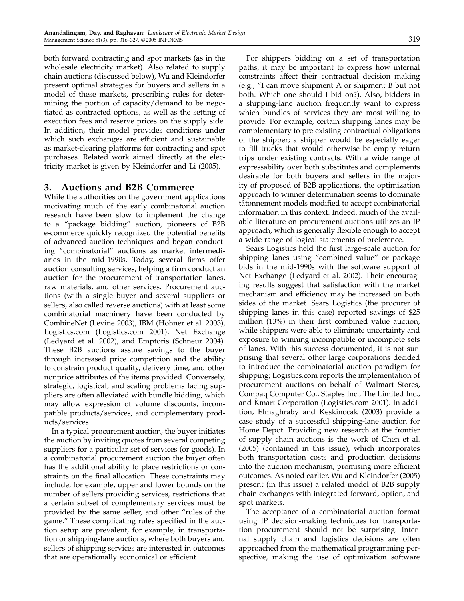both forward contracting and spot markets (as in the wholesale electricity market). Also related to supply chain auctions (discussed below), Wu and Kleindorfer present optimal strategies for buyers and sellers in a model of these markets, prescribing rules for determining the portion of capacity/demand to be negotiated as contracted options, as well as the setting of execution fees and reserve prices on the supply side. In addition, their model provides conditions under which such exchanges are efficient and sustainable as market-clearing platforms for contracting and spot purchases. Related work aimed directly at the electricity market is given by Kleindorfer and Li (2005).

## 3. Auctions and B2B Commerce

While the authorities on the government applications motivating much of the early combinatorial auction research have been slow to implement the change to a "package bidding" auction, pioneers of B2B e-commerce quickly recognized the potential benefits of advanced auction techniques and began conducting "combinatorial" auctions as market intermediaries in the mid-1990s. Today, several firms offer auction consulting services, helping a firm conduct an auction for the procurement of transportation lanes, raw materials, and other services. Procurement auctions (with a single buyer and several suppliers or sellers, also called reverse auctions) with at least some combinatorial machinery have been conducted by CombineNet (Levine 2003), IBM (Hohner et al. 2003), Logistics.com (Logistics.com 2001), Net Exchange (Ledyard et al. 2002), and Emptoris (Schneur 2004). These B2B auctions assure savings to the buyer through increased price competition and the ability to constrain product quality, delivery time, and other nonprice attributes of the items provided. Conversely, strategic, logistical, and scaling problems facing suppliers are often alleviated with bundle bidding, which may allow expression of volume discounts, incompatible products/services, and complementary products/services.

In a typical procurement auction, the buyer initiates the auction by inviting quotes from several competing suppliers for a particular set of services (or goods). In a combinatorial procurement auction the buyer often has the additional ability to place restrictions or constraints on the final allocation. These constraints may include, for example, upper and lower bounds on the number of sellers providing services, restrictions that a certain subset of complementary services must be provided by the same seller, and other "rules of the game." These complicating rules specified in the auction setup are prevalent, for example, in transportation or shipping-lane auctions, where both buyers and sellers of shipping services are interested in outcomes that are operationally economical or efficient.

For shippers bidding on a set of transportation paths, it may be important to express how internal constraints affect their contractual decision making (e.g., "I can move shipment A or shipment B but not both. Which one should I bid on?). Also, bidders in a shipping-lane auction frequently want to express which bundles of services they are most willing to provide. For example, certain shipping lanes may be complementary to pre existing contractual obligations of the shipper; a shipper would be especially eager to fill trucks that would otherwise be empty return trips under existing contracts. With a wide range of expressability over both substitutes and complements desirable for both buyers and sellers in the majority of proposed of B2B applications, the optimization approach to winner determination seems to dominate tâtonnement models modified to accept combinatorial information in this context. Indeed, much of the available literature on procurement auctions utilizes an IP approach, which is generally flexible enough to accept a wide range of logical statements of preference.

Sears Logistics held the first large-scale auction for shipping lanes using "combined value" or package bids in the mid-1990s with the software support of Net Exchange (Ledyard et al. 2002). Their encouraging results suggest that satisfaction with the market mechanism and efficiency may be increased on both sides of the market. Sears Logistics (the procurer of shipping lanes in this case) reported savings of \$25 million (13%) in their first combined value auction, while shippers were able to eliminate uncertainty and exposure to winning incompatible or incomplete sets of lanes. With this success documented, it is not surprising that several other large corporations decided to introduce the combinatorial auction paradigm for shipping; Logistics.com reports the implementation of procurement auctions on behalf of Walmart Stores, Compaq Computer Co., Staples Inc., The Limited Inc., and Kmart Corporation (Logistics.com 2001). In addition, Elmaghraby and Keskinocak (2003) provide a case study of a successful shipping-lane auction for Home Depot. Providing new research at the frontier of supply chain auctions is the work of Chen et al. (2005) (contained in this issue), which incorporates both transportation costs and production decisions into the auction mechanism, promising more efficient outcomes. As noted earlier, Wu and Kleindorfer (2005) present (in this issue) a related model of B2B supply chain exchanges with integrated forward, option, and spot markets.

The acceptance of a combinatorial auction format using IP decision-making techniques for transportation procurement should not be surprising. Internal supply chain and logistics decisions are often approached from the mathematical programming perspective, making the use of optimization software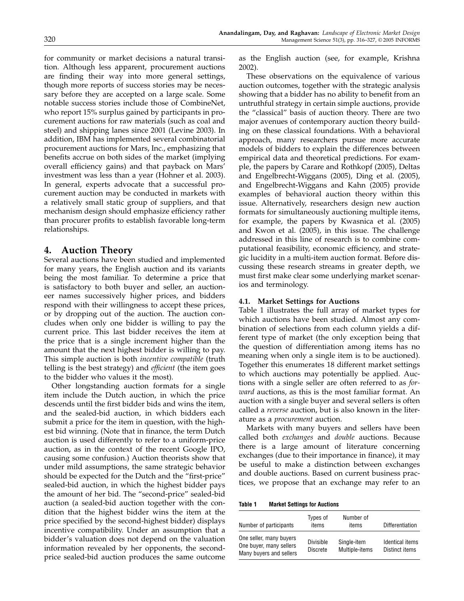for community or market decisions a natural transition. Although less apparent, procurement auctions are finding their way into more general settings, though more reports of success stories may be necessary before they are accepted on a large scale. Some notable success stories include those of CombineNet, who report 15% surplus gained by participants in procurement auctions for raw materials (such as coal and steel) and shipping lanes since 2001 (Levine 2003). In addition, IBM has implemented several combinatorial procurement auctions for Mars, Inc., emphasizing that benefits accrue on both sides of the market (implying overall efficiency gains) and that payback on Mars' investment was less than a year (Hohner et al. 2003). In general, experts advocate that a successful procurement auction may be conducted in markets with a relatively small static group of suppliers, and that mechanism design should emphasize efficiency rather than procurer profits to establish favorable long-term relationships.

## 4. Auction Theory

Several auctions have been studied and implemented for many years, the English auction and its variants being the most familiar. To determine a price that is satisfactory to both buyer and seller, an auctioneer names successively higher prices, and bidders respond with their willingness to accept these prices, or by dropping out of the auction. The auction concludes when only one bidder is willing to pay the current price. This last bidder receives the item at the price that is a single increment higher than the amount that the next highest bidder is willing to pay. This simple auction is both incentive compatible (truth telling is the best strategy) and efficient (the item goes to the bidder who values it the most).

Other longstanding auction formats for a single item include the Dutch auction, in which the price descends until the first bidder bids and wins the item, and the sealed-bid auction, in which bidders each submit a price for the item in question, with the highest bid winning. (Note that in finance, the term Dutch auction is used differently to refer to a uniform-price auction, as in the context of the recent Google IPO, causing some confusion.) Auction theorists show that under mild assumptions, the same strategic behavior should be expected for the Dutch and the "first-price" sealed-bid auction, in which the highest bidder pays the amount of her bid. The "second-price" sealed-bid auction (a sealed-bid auction together with the condition that the highest bidder wins the item at the price specified by the second-highest bidder) displays incentive compatibility. Under an assumption that a bidder's valuation does not depend on the valuation information revealed by her opponents, the secondprice sealed-bid auction produces the same outcome

as the English auction (see, for example, Krishna 2002).

These observations on the equivalence of various auction outcomes, together with the strategic analysis showing that a bidder has no ability to benefit from an untruthful strategy in certain simple auctions, provide the "classical" basis of auction theory. There are two major avenues of contemporary auction theory building on these classical foundations. With a behavioral approach, many researchers pursue more accurate models of bidders to explain the differences between empirical data and theoretical predictions. For example, the papers by Carare and Rothkopf (2005), Deltas and Engelbrecht-Wiggans (2005), Ding et al. (2005), and Engelbrecht-Wiggans and Kahn (2005) provide examples of behavioral auction theory within this issue. Alternatively, researchers design new auction formats for simultaneously auctioning multiple items, for example, the papers by Kwasnica et al. (2005) and Kwon et al. (2005), in this issue. The challenge addressed in this line of research is to combine computational feasibility, economic efficiency, and strategic lucidity in a multi-item auction format. Before discussing these research streams in greater depth, we must first make clear some underlying market scenarios and terminology.

#### 4.1. Market Settings for Auctions

Table 1 illustrates the full array of market types for which auctions have been studied. Almost any combination of selections from each column yields a different type of market (the only exception being that the question of differentiation among items has no meaning when only a single item is to be auctioned). Together this enumerates 18 different market settings to which auctions may potentially be applied. Auctions with a single seller are often referred to as forward auctions, as this is the most familiar format. An auction with a single buyer and several sellers is often called a reverse auction, but is also known in the literature as a procurement auction.

Markets with many buyers and sellers have been called both exchanges and double auctions. Because there is a large amount of literature concerning exchanges (due to their importance in finance), it may be useful to make a distinction between exchanges and double auctions. Based on current business practices, we propose that an exchange may refer to an

Table 1 Market Settings for Auctions

| Number of participants                                                        | Types of<br>items                   | Number of<br>items            | Differentiation                          |
|-------------------------------------------------------------------------------|-------------------------------------|-------------------------------|------------------------------------------|
| One seller, many buyers<br>One buyer, many sellers<br>Many buyers and sellers | <b>Divisible</b><br><b>Discrete</b> | Single-item<br>Multiple-items | <b>Identical items</b><br>Distinct items |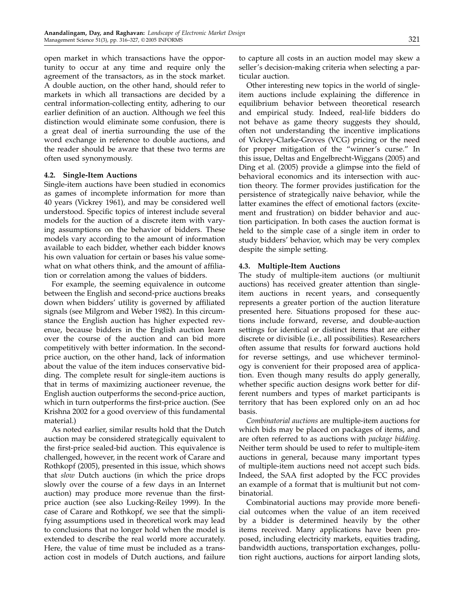open market in which transactions have the opportunity to occur at any time and require only the agreement of the transactors, as in the stock market. A double auction, on the other hand, should refer to markets in which all transactions are decided by a central information-collecting entity, adhering to our earlier definition of an auction. Although we feel this distinction would eliminate some confusion, there is a great deal of inertia surrounding the use of the word exchange in reference to double auctions, and the reader should be aware that these two terms are often used synonymously.

#### 4.2. Single-Item Auctions

Single-item auctions have been studied in economics as games of incomplete information for more than 40 years (Vickrey 1961), and may be considered well understood. Specific topics of interest include several models for the auction of a discrete item with varying assumptions on the behavior of bidders. These models vary according to the amount of information available to each bidder, whether each bidder knows his own valuation for certain or bases his value somewhat on what others think, and the amount of affiliation or correlation among the values of bidders.

For example, the seeming equivalence in outcome between the English and second-price auctions breaks down when bidders' utility is governed by affiliated signals (see Milgrom and Weber 1982). In this circumstance the English auction has higher expected revenue, because bidders in the English auction learn over the course of the auction and can bid more competitively with better information. In the secondprice auction, on the other hand, lack of information about the value of the item induces conservative bidding. The complete result for single-item auctions is that in terms of maximizing auctioneer revenue, the English auction outperforms the second-price auction, which in turn outperforms the first-price auction. (See Krishna 2002 for a good overview of this fundamental material.)

As noted earlier, similar results hold that the Dutch auction may be considered strategically equivalent to the first-price sealed-bid auction. This equivalence is challenged, however, in the recent work of Carare and Rothkopf (2005), presented in this issue, which shows that slow Dutch auctions (in which the price drops slowly over the course of a few days in an Internet auction) may produce more revenue than the firstprice auction (see also Lucking-Reiley 1999). In the case of Carare and Rothkopf, we see that the simplifying assumptions used in theoretical work may lead to conclusions that no longer hold when the model is extended to describe the real world more accurately. Here, the value of time must be included as a transaction cost in models of Dutch auctions, and failure

to capture all costs in an auction model may skew a seller's decision-making criteria when selecting a particular auction.

Other interesting new topics in the world of singleitem auctions include explaining the difference in equilibrium behavior between theoretical research and empirical study. Indeed, real-life bidders do not behave as game theory suggests they should, often not understanding the incentive implications of Vickrey-Clarke-Groves (VCG) pricing or the need for proper mitigation of the "winner's curse." In this issue, Deltas and Engelbrecht-Wiggans (2005) and Ding et al. (2005) provide a glimpse into the field of behavioral economics and its intersection with auction theory. The former provides justification for the persistence of strategically naive behavior, while the latter examines the effect of emotional factors (excitement and frustration) on bidder behavior and auction participation. In both cases the auction format is held to the simple case of a single item in order to study bidders' behavior, which may be very complex despite the simple setting.

#### 4.3. Multiple-Item Auctions

The study of multiple-item auctions (or multiunit auctions) has received greater attention than singleitem auctions in recent years, and consequently represents a greater portion of the auction literature presented here. Situations proposed for these auctions include forward, reverse, and double-auction settings for identical or distinct items that are either discrete or divisible (i.e., all possibilities). Researchers often assume that results for forward auctions hold for reverse settings, and use whichever terminology is convenient for their proposed area of application. Even though many results do apply generally, whether specific auction designs work better for different numbers and types of market participants is territory that has been explored only on an ad hoc basis.

Combinatorial auctions are multiple-item auctions for which bids may be placed on packages of items, and are often referred to as auctions with *package bidding*. Neither term should be used to refer to multiple-item auctions in general, because many important types of multiple-item auctions need not accept such bids. Indeed, the SAA first adopted by the FCC provides an example of a format that is multiunit but not combinatorial.

Combinatorial auctions may provide more beneficial outcomes when the value of an item received by a bidder is determined heavily by the other items received. Many applications have been proposed, including electricity markets, equities trading, bandwidth auctions, transportation exchanges, pollution right auctions, auctions for airport landing slots,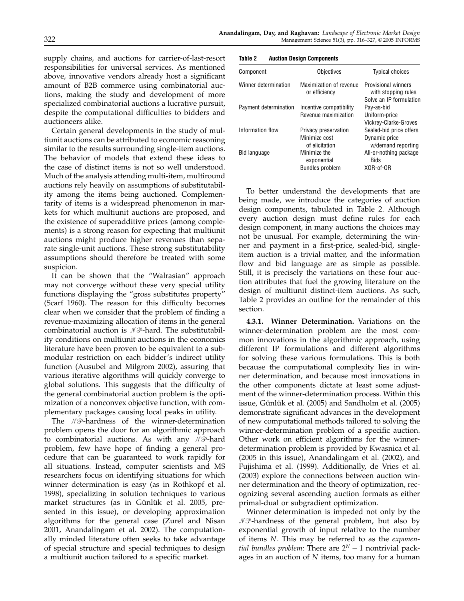supply chains, and auctions for carrier-of-last-resort responsibilities for universal services. As mentioned above, innovative vendors already host a significant amount of B2B commerce using combinatorial auctions, making the study and development of more specialized combinatorial auctions a lucrative pursuit, despite the computational difficulties to bidders and auctioneers alike.

Certain general developments in the study of multiunit auctions can be attributed to economic reasoning similar to the results surrounding single-item auctions. The behavior of models that extend these ideas to the case of distinct items is not so well understood. Much of the analysis attending multi-item, multiround auctions rely heavily on assumptions of substitutability among the items being auctioned. Complementarity of items is a widespread phenomenon in markets for which multiunit auctions are proposed, and the existence of superadditive prices (among complements) is a strong reason for expecting that multiunit auctions might produce higher revenues than separate single-unit auctions. These strong substitutability assumptions should therefore be treated with some suspicion.

It can be shown that the "Walrasian" approach may not converge without these very special utility functions displaying the "gross substitutes property" (Scarf 1960). The reason for this difficulty becomes clear when we consider that the problem of finding a revenue-maximizing allocation of items in the general combinatorial auction is  $\mathcal{NP}\text{-}$ hard. The substitutability conditions on multiunit auctions in the economics literature have been proven to be equivalent to a submodular restriction on each bidder's indirect utility function (Ausubel and Milgrom 2002), assuring that various iterative algorithms will quickly converge to global solutions. This suggests that the difficulty of the general combinatorial auction problem is the optimization of a nonconvex objective function, with complementary packages causing local peaks in utility.

The  $\mathcal{N} \mathcal{P}$ -hardness of the winner-determination problem opens the door for an algorithmic approach to combinatorial auctions. As with any  $\mathcal{NP}\text{-}$ hard problem, few have hope of finding a general procedure that can be guaranteed to work rapidly for all situations. Instead, computer scientists and MS researchers focus on identifying situations for which winner determination is easy (as in Rothkopf et al. 1998), specializing in solution techniques to various market structures (as in Günlük et al. 2005, presented in this issue), or developing approximation algorithms for the general case (Zurel and Nisan 2001, Anandalingam et al. 2002). The computationally minded literature often seeks to take advantage of special structure and special techniques to design a multiunit auction tailored to a specific market.

| Table 2<br><b>Auction Design Components</b> |  |
|---------------------------------------------|--|
|---------------------------------------------|--|

| Component             | <b>Objectives</b>                                       | <b>Typical choices</b>                                                |
|-----------------------|---------------------------------------------------------|-----------------------------------------------------------------------|
| Winner determination  | Maximization of revenue<br>or efficiency                | Provisional winners<br>with stopping rules<br>Solve an IP formulation |
| Payment determination | Incentive compatibility<br>Revenue maximization         | Pay-as-bid<br>Uniform-price<br>Vickrey-Clarke-Groves                  |
| Information flow      | Privacy preservation<br>Minimize cost<br>of elicitation | Sealed-bid price offers<br>Dynamic price<br>w/demand reporting        |
| Bid language          | Minimize the<br>exponential<br><b>Bundles problem</b>   | All-or-nothing package<br><b>Bids</b><br>XOR-of-OR                    |

To better understand the developments that are being made, we introduce the categories of auction design components, tabulated in Table 2. Although every auction design must define rules for each design component, in many auctions the choices may not be unusual. For example, determining the winner and payment in a first-price, sealed-bid, singleitem auction is a trivial matter, and the information flow and bid language are as simple as possible. Still, it is precisely the variations on these four auction attributes that fuel the growing literature on the design of multiunit distinct-item auctions. As such, Table 2 provides an outline for the remainder of this section.

4.3.1. Winner Determination. Variations on the winner-determination problem are the most common innovations in the algorithmic approach, using different IP formulations and different algorithms for solving these various formulations. This is both because the computational complexity lies in winner determination, and because most innovations in the other components dictate at least some adjustment of the winner-determination process. Within this issue, Günlük et al. (2005) and Sandholm et al. (2005) demonstrate significant advances in the development of new computational methods tailored to solving the winner-determination problem of a specific auction. Other work on efficient algorithms for the winnerdetermination problem is provided by Kwasnica et al. (2005 in this issue), Anandalingam et al. (2002), and Fujishima et al. (1999). Additionally, de Vries et al. (2003) explore the connections between auction winner determination and the theory of optimization, recognizing several ascending auction formats as either primal-dual or subgradient optimization.

Winner determination is impeded not only by the  $\mathcal N\mathcal P$ -hardness of the general problem, but also by exponential growth of input relative to the number of items N. This may be referred to as the exponential bundles problem: There are  $2^N-1$  nontrivial packages in an auction of  $N$  items, too many for a human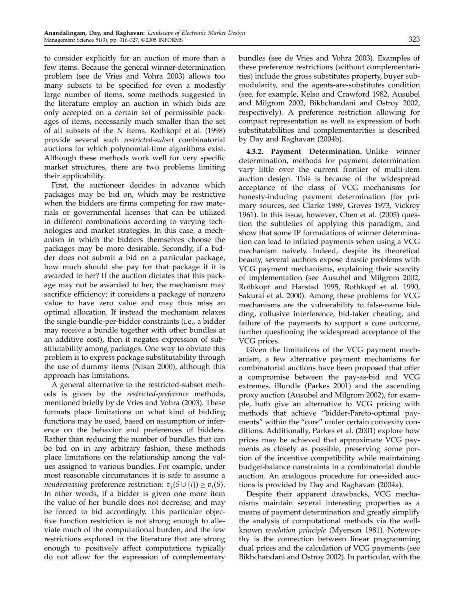to consider explicitly for an auction of more than a few items. Because the general winner-determination problem (see de Vries and Vohra 2003) allows too many subsets to be specified for even a modestly large number of items, some methods suggested in the literature employ an auction in which bids are only accepted on a certain set of permissible packages of items, necessarily much smaller than the set of all subsets of the N items. Rothkopf et al. (1998) provide several such restricted-subset combinatorial auctions for which polynomial-time algorithms exist. Although these methods work well for very specific market structures, there are two problems limiting their applicability.

First, the auctioneer decides in advance which packages may be bid on, which may be restrictive when the bidders are firms competing for raw materials or governmental licenses that can be utilized in different combinations according to varying technologies and market strategies. In this case, a mechanism in which the bidders themselves choose the packages may be more desirable. Secondly, if a bidder does not submit a bid on a particular package, how much should she pay for that package if it is awarded to her? If the auction dictates that this package may not be awarded to her, the mechanism may sacrifice efficiency; it considers a package of nonzero value to have zero value and may thus miss an optimal allocation. If instead the mechanism relaxes the single-bundle-per-bidder constraints (i.e., a bidder may receive a bundle together with other bundles at an additive cost), then it negates expression of substitutability among packages. One way to obviate this problem is to express package substitutability through the use of dummy items (Nisan 2000), although this approach has limitations.

A general alternative to the restricted-subset methods is given by the restricted-preference methods, mentioned briefly by de Vries and Vohra (2003). These formats place limitations on what kind of bidding functions may be used, based on assumption or inference on the behavior and preferences of bidders. Rather than reducing the number of bundles that can be bid on in any arbitrary fashion, these methods place limitations on the relationship among the values assigned to various bundles. For example, under most reasonable circumstances it is safe to assume a nondecreasing preference restriction:  $v_i(S \cup \{i\}) \geq v_i(S)$ . In other words, if a bidder is given one more item the value of her bundle does not decrease, and may be forced to bid accordingly. This particular objective function restriction is not strong enough to alleviate much of the computational burden, and the few restrictions explored in the literature that are strong enough to positively affect computations typically do not allow for the expression of complementary

bundles (see de Vries and Vohra 2003). Examples of these preference restrictions (without complementarities) include the gross substitutes property, buyer submodularity, and the agents-are-substitutes condition (see, for example, Kelso and Crawford 1982, Ausubel and Milgrom 2002, Bikhchandani and Ostroy 2002, respectively). A preference restriction allowing for compact representation as well as expression of both substitutabilities and complementarities is described by Day and Raghavan (2004b).

4.3.2. Payment Determination. Unlike winner determination, methods for payment determination vary little over the current frontier of multi-item auction design. This is because of the widespread acceptance of the class of VCG mechanisms for honesty-inducing payment determination (for primary sources, see Clarke 1989, Groves 1973, Vickrey 1961). In this issue, however, Chen et al. (2005) question the subtleties of applying this paradigm, and show that some IP formulations of winner determination can lead to inflated payments when using a VCG mechanism naively. Indeed, despite its theoretical beauty, several authors expose drastic problems with VCG payment mechanisms, explaining their scarcity of implementation (see Ausubel and Milgrom 2002, Rothkopf and Harstad 1995, Rothkopf et al. 1990, Sakurai et al. 2000). Among these problems for VCG mechanisms are the vulnerability to false-name bidding, collusive interference, bid-taker cheating, and failure of the payments to support a core outcome, further questioning the widespread acceptance of the VCG prices.

Given the limitations of the VCG payment mechanism, a few alternative payment mechanisms for combinatorial auctions have been proposed that offer a compromise between the pay-as-bid and VCG extremes. iBundle (Parkes 2001) and the ascending proxy auction (Ausubel and Milgrom 2002), for example, both give an alternative to VCG pricing with methods that achieve "bidder-Pareto-optimal payments" within the "core" under certain convexity conditions. Additionally, Parkes et al. (2001) explore how prices may be achieved that approximate VCG payments as closely as possible, preserving some portion of the incentive compatibility while maintaining budget-balance constraints in a combinatorial double auction. An analogous procedure for one-sided auctions is provided by Day and Raghavan (2004a).

Despite their apparent drawbacks, VCG mechanisms maintain several interesting properties as a means of payment determination and greatly simplify the analysis of computational methods via the wellknown revelation principle (Myerson 1981). Noteworthy is the connection between linear programming dual prices and the calculation of VCG payments (see Bikhchandani and Ostroy 2002). In particular, with the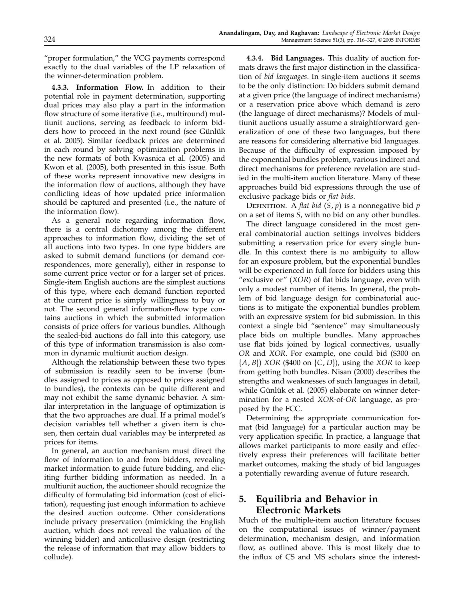"proper formulation," the VCG payments correspond exactly to the dual variables of the LP relaxation of the winner-determination problem.

4.3.3. Information Flow. In addition to their potential role in payment determination, supporting dual prices may also play a part in the information flow structure of some iterative (i.e., multiround) multiunit auctions, serving as feedback to inform bidders how to proceed in the next round (see Günlük et al. 2005). Similar feedback prices are determined in each round by solving optimization problems in the new formats of both Kwasnica et al. (2005) and Kwon et al. (2005), both presented in this issue. Both of these works represent innovative new designs in the information flow of auctions, although they have conflicting ideas of how updated price information should be captured and presented (i.e., the nature of the information flow).

As a general note regarding information flow, there is a central dichotomy among the different approaches to information flow, dividing the set of all auctions into two types. In one type bidders are asked to submit demand functions (or demand correspondences, more generally), either in response to some current price vector or for a larger set of prices. Single-item English auctions are the simplest auctions of this type, where each demand function reported at the current price is simply willingness to buy or not. The second general information-flow type contains auctions in which the submitted information consists of price offers for various bundles. Although the sealed-bid auctions do fall into this category, use of this type of information transmission is also common in dynamic multiunit auction design.

Although the relationship between these two types of submission is readily seen to be inverse (bundles assigned to prices as opposed to prices assigned to bundles), the contexts can be quite different and may not exhibit the same dynamic behavior. A similar interpretation in the language of optimization is that the two approaches are dual. If a primal model's decision variables tell whether a given item is chosen, then certain dual variables may be interpreted as prices for items.

In general, an auction mechanism must direct the flow of information to and from bidders, revealing market information to guide future bidding, and eliciting further bidding information as needed. In a multiunit auction, the auctioneer should recognize the difficulty of formulating bid information (cost of elicitation), requesting just enough information to achieve the desired auction outcome. Other considerations include privacy preservation (mimicking the English auction, which does not reveal the valuation of the winning bidder) and anticollusive design (restricting the release of information that may allow bidders to collude).

4.3.4. Bid Languages. This duality of auction formats draws the first major distinction in the classification of bid languages. In single-item auctions it seems to be the only distinction: Do bidders submit demand at a given price (the language of indirect mechanisms) or a reservation price above which demand is zero (the language of direct mechanisms)? Models of multiunit auctions usually assume a straightforward generalization of one of these two languages, but there are reasons for considering alternative bid languages. Because of the difficulty of expression imposed by the exponential bundles problem, various indirect and direct mechanisms for preference revelation are studied in the multi-item auction literature. Many of these approaches build bid expressions through the use of exclusive package bids or flat bids.

DEFINITION. A *flat bid*  $(S, p)$  is a nonnegative bid  $p$ on a set of items S, with no bid on any other bundles.

The direct language considered in the most general combinatorial auction settings involves bidders submitting a reservation price for every single bundle. In this context there is no ambiguity to allow for an exposure problem, but the exponential bundles will be experienced in full force for bidders using this "exclusive or"  $(XOR)$  of flat bids language, even with only a modest number of items. In general, the problem of bid language design for combinatorial auctions is to mitigate the exponential bundles problem with an expressive system for bid submission. In this context a single bid "sentence" may simultaneously place bids on multiple bundles. Many approaches use flat bids joined by logical connectives, usually OR and XOR. For example, one could bid (\$300 on  $\{A, B\}$ ) XOR (\$400 on  $\{C, D\}$ ), using the XOR to keep from getting both bundles. Nisan (2000) describes the strengths and weaknesses of such languages in detail, while Günlük et al. (2005) elaborate on winner determination for a nested XOR-of-OR language, as proposed by the FCC.

Determining the appropriate communication format (bid language) for a particular auction may be very application specific. In practice, a language that allows market participants to more easily and effectively express their preferences will facilitate better market outcomes, making the study of bid languages a potentially rewarding avenue of future research.

# 5. Equilibria and Behavior in Electronic Markets

Much of the multiple-item auction literature focuses on the computational issues of winner/payment determination, mechanism design, and information flow, as outlined above. This is most likely due to the influx of CS and MS scholars since the interest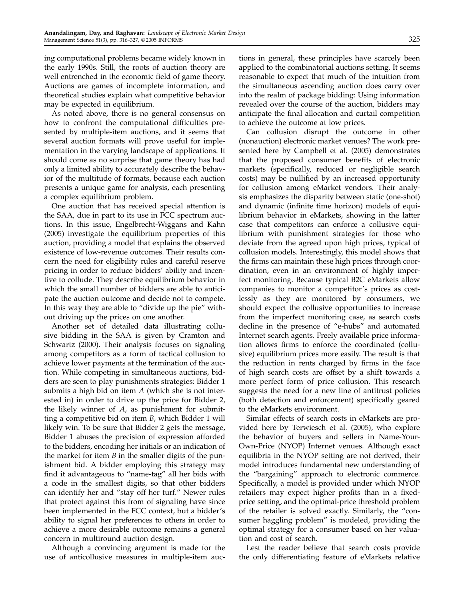ing computational problems became widely known in the early 1990s. Still, the roots of auction theory are well entrenched in the economic field of game theory. Auctions are games of incomplete information, and theoretical studies explain what competitive behavior may be expected in equilibrium.

As noted above, there is no general consensus on how to confront the computational difficulties presented by multiple-item auctions, and it seems that several auction formats will prove useful for implementation in the varying landscape of applications. It should come as no surprise that game theory has had only a limited ability to accurately describe the behavior of the multitude of formats, because each auction presents a unique game for analysis, each presenting a complex equilibrium problem.

One auction that has received special attention is the SAA, due in part to its use in FCC spectrum auctions. In this issue, Engelbrecht-Wiggans and Kahn (2005) investigate the equilibrium properties of this auction, providing a model that explains the observed existence of low-revenue outcomes. Their results concern the need for eligibility rules and careful reserve pricing in order to reduce bidders' ability and incentive to collude. They describe equilibrium behavior in which the small number of bidders are able to anticipate the auction outcome and decide not to compete. In this way they are able to "divide up the pie" without driving up the prices on one another.

Another set of detailed data illustrating collusive bidding in the SAA is given by Cramton and Schwartz (2000). Their analysis focuses on signaling among competitors as a form of tactical collusion to achieve lower payments at the termination of the auction. While competing in simultaneous auctions, bidders are seen to play punishments strategies: Bidder 1 submits a high bid on item  $A$  (which she is not interested in) in order to drive up the price for Bidder 2, the likely winner of A, as punishment for submitting a competitive bid on item B, which Bidder 1 will likely win. To be sure that Bidder 2 gets the message, Bidder 1 abuses the precision of expression afforded to the bidders, encoding her initials or an indication of the market for item  $B$  in the smaller digits of the punishment bid. A bidder employing this strategy may find it advantageous to "name-tag" all her bids with a code in the smallest digits, so that other bidders can identify her and "stay off her turf." Newer rules that protect against this from of signaling have since been implemented in the FCC context, but a bidder's ability to signal her preferences to others in order to achieve a more desirable outcome remains a general concern in multiround auction design.

Although a convincing argument is made for the use of anticollusive measures in multiple-item auctions in general, these principles have scarcely been applied to the combinatorial auctions setting. It seems reasonable to expect that much of the intuition from the simultaneous ascending auction does carry over into the realm of package bidding: Using information revealed over the course of the auction, bidders may anticipate the final allocation and curtail competition to achieve the outcome at low prices.

Can collusion disrupt the outcome in other (nonauction) electronic market venues? The work presented here by Campbell et al. (2005) demonstrates that the proposed consumer benefits of electronic markets (specifically, reduced or negligible search costs) may be nullified by an increased opportunity for collusion among eMarket vendors. Their analysis emphasizes the disparity between static (one-shot) and dynamic (infinite time horizon) models of equilibrium behavior in eMarkets, showing in the latter case that competitors can enforce a collusive equilibrium with punishment strategies for those who deviate from the agreed upon high prices, typical of collusion models. Interestingly, this model shows that the firms can maintain these high prices through coordination, even in an environment of highly imperfect monitoring. Because typical B2C eMarkets allow companies to monitor a competitor's prices as costlessly as they are monitored by consumers, we should expect the collusive opportunities to increase from the imperfect monitoring case, as search costs decline in the presence of "e-hubs" and automated Internet search agents. Freely available price information allows firms to enforce the coordinated (collusive) equilibrium prices more easily. The result is that the reduction in rents charged by firms in the face of high search costs are offset by a shift towards a more perfect form of price collusion. This research suggests the need for a new line of antitrust policies (both detection and enforcement) specifically geared to the eMarkets environment.

Similar effects of search costs in eMarkets are provided here by Terwiesch et al. (2005), who explore the behavior of buyers and sellers in Name-Your-Own-Price (NYOP) Internet venues. Although exact equilibria in the NYOP setting are not derived, their model introduces fundamental new understanding of the "bargaining" approach to electronic commerce. Specifically, a model is provided under which NYOP retailers may expect higher profits than in a fixedprice setting, and the optimal-price threshold problem of the retailer is solved exactly. Similarly, the "consumer haggling problem" is modeled, providing the optimal strategy for a consumer based on her valuation and cost of search.

Lest the reader believe that search costs provide the only differentiating feature of eMarkets relative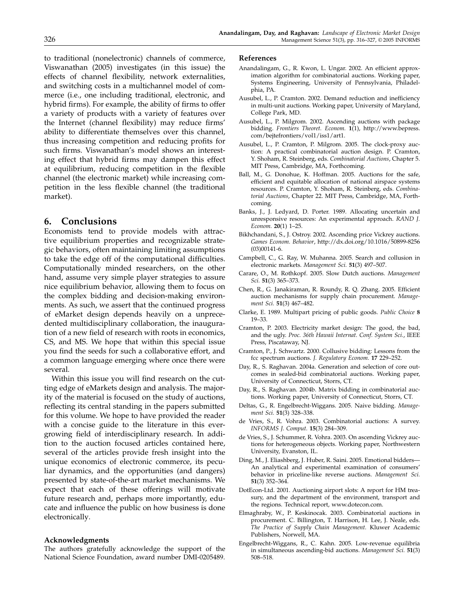to traditional (nonelectronic) channels of commerce, Viswanathan (2005) investigates (in this issue) the effects of channel flexibility, network externalities, and switching costs in a multichannel model of commerce (i.e., one including traditional, electronic, and hybrid firms). For example, the ability of firms to offer a variety of products with a variety of features over the Internet (channel flexibility) may reduce firms' ability to differentiate themselves over this channel, thus increasing competition and reducing profits for such firms. Viswanathan's model shows an interesting effect that hybrid firms may dampen this effect at equilibrium, reducing competition in the flexible channel (the electronic market) while increasing competition in the less flexible channel (the traditional market).

## 6. Conclusions

Economists tend to provide models with attractive equilibrium properties and recognizable strategic behaviors, often maintaining limiting assumptions to take the edge off of the computational difficulties. Computationally minded researchers, on the other hand, assume very simple player strategies to assure nice equilibrium behavior, allowing them to focus on the complex bidding and decision-making environments. As such, we assert that the continued progress of eMarket design depends heavily on a unprecedented multidisciplinary collaboration, the inauguration of a new field of research with roots in economics, CS, and MS. We hope that within this special issue you find the seeds for such a collaborative effort, and a common language emerging where once there were several.

Within this issue you will find research on the cutting edge of eMarkets design and analysis. The majority of the material is focused on the study of auctions, reflecting its central standing in the papers submitted for this volume. We hope to have provided the reader with a concise guide to the literature in this evergrowing field of interdisciplinary research. In addition to the auction focused articles contained here, several of the articles provide fresh insight into the unique economics of electronic commerce, its peculiar dynamics, and the opportunities (and dangers) presented by state-of-the-art market mechanisms. We expect that each of these offerings will motivate future research and, perhaps more importantly, educate and influence the public on how business is done electronically.

#### Acknowledgments

The authors gratefully acknowledge the support of the National Science Foundation, award number DMI-0205489.

#### References

- Anandalingam, G., R. Kwon, L. Ungar. 2002. An efficient approximation algorithm for combinatorial auctions. Working paper, Systems Engineering, University of Pennsylvania, Philadelphia, PA.
- Ausubel, L., P. Cramton. 2002. Demand reduction and inefficiency in multi-unit auctions. Working paper, University of Maryland, College Park, MD.
- Ausubel, L., P. Milgrom. 2002. Ascending auctions with package bidding. Frontiers Theoret. Econom. 1(1), http://www.bepress. com/bejtefrontiers/vol1/iss1/art1.
- Ausubel, L., P. Cramton, P. Milgrom. 2005. The clock-proxy auction: A practical combinatorial auction design. P. Cramton, Y. Shoham, R. Steinberg, eds. Combinatorial Auctions, Chapter 5. MIT Press, Cambridge, MA, Forthcoming.
- Ball, M., G. Donohue, K. Hoffman. 2005. Auctions for the safe, efficient and equitable allocation of national airspace systems resources. P. Cramton, Y. Shoham, R. Steinberg, eds. Combinatorial Auctions, Chapter 22. MIT Press, Cambridge, MA, Forthcoming.
- Banks, J., J. Ledyard, D. Porter. 1989. Allocating uncertain and unresponsive resources: An experimental approach. RAND J. Econom. 20(1) 1–25.
- Bikhchandani, S., J. Ostroy. 2002. Ascending price Vickrey auctions. Games Econom. Behavior, http://dx.doi.org/10.1016/50899-8256 (03)00141-6.
- Campbell, C., G. Ray, W. Muhanna. 2005. Search and collusion in electronic markets. Management Sci. 51(3) 497–507.
- Carare, O., M. Rothkopf. 2005. Slow Dutch auctions. Management Sci. 51(3) 365–373.
- Chen, R., G. Janakiraman, R. Roundy, R. Q. Zhang. 2005. Efficient auction mechanisms for supply chain procurement. Management Sci. 51(3) 467–482.
- Clarke, E. 1989. Multipart pricing of public goods. Public Choice 8 19–33.
- Cramton, P. 2003. Electricity market design: The good, the bad, and the ugly. Proc. 36th Hawaii Internat. Conf. System Sci., IEEE Press, Piscataway, NJ.
- Cramton, P., J. Schwartz. 2000. Collusive bidding: Lessons from the fcc spectrum auctions. J. Regulatory Econom. 17 229–252.
- Day, R., S. Raghavan. 2004a. Generation and selection of core outcomes in sealed-bid combinatorial auctions. Working paper, University of Connecticut, Storrs, CT.
- Day, R., S. Raghavan. 2004b. Matrix bidding in combinatorial auctions. Working paper, University of Connecticut, Storrs, CT.
- Deltas, G., R. Engelbrecht-Wiggans. 2005. Naive bidding. Management Sci. 51(3) 328–338.
- de Vries, S., R. Vohra. 2003. Combinatorial auctions: A survey. INFORMS J. Comput. 15(3) 284–309.
- de Vries, S., J. Schummer, R. Vohra. 2003. On ascending Vickrey auctions for heterogeneous objects. Working paper, Northwestern University, Evanston, IL.
- Ding, M., J. Eliashberg, J. Huber, R. Saini. 2005. Emotional bidders— An analytical and experimental examination of consumers' behavior in priceline-like reverse auctions. Management Sci. 51(3) 352–364.
- DotEcon-Ltd. 2001. Auctioning airport slots: A report for HM treasury, and the department of the environment, transport and the regions. Technical report, www.dotecon.com.
- Elmaghraby, W., P. Keskinocak. 2003. Combinatorial auctions in procurement. C. Billington, T. Harrison, H. Lee, J. Neale, eds. The Practice of Supply Chain Management. Kluwer Academic Publishers, Norwell, MA.
- Engelbrecht-Wiggans, R., C. Kahn. 2005. Low-revenue equilibria in simultaneous ascending-bid auctions. Management Sci. 51(3) 508–518.